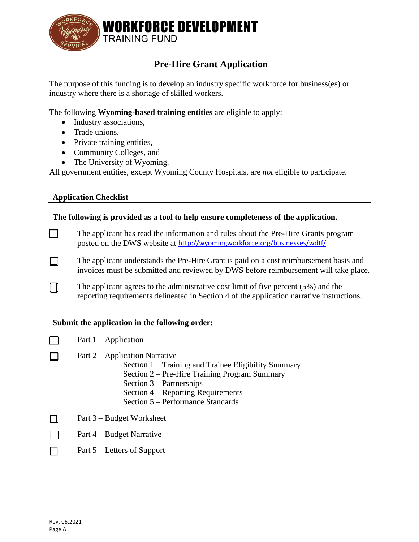

## **Pre-Hire Grant Application**

The purpose of this funding is to develop an industry specific workforce for business(es) or industry where there is a shortage of skilled workers.

The following **Wyoming-based training entities** are eligible to apply:

- Industry associations,
- Trade unions.
- Private training entities,
- Community Colleges, and
- The University of Wyoming.

All government entities, except Wyoming County Hospitals, are *not* eligible to participate.

#### **Application Checklist**

 $\Box$ 

 $\Box$ 

 $\Box$ 

#### **The following is provided as a tool to help ensure completeness of the application.**

The applicant has read the information and rules about the Pre-Hire Grants program  $\Box$ posted on the DWS website at <http://wyomingworkforce.org/businesses/wdtf/>

The applicant understands the Pre-Hire Grant is paid on a cost reimbursement basis and  $\Box$ invoices must be submitted and reviewed by DWS before reimbursement will take place.

The applicant agrees to the administrative cost limit of five percent (5%) and the reporting requirements delineated in Section 4 of the application narrative instructions.

#### **Submit the application in the following order:**

- Part 1 Application
	- Part 2 Application Narrative
		- Section 1 Training and Trainee Eligibility Summary
		- Section 2 Pre-Hire Training Program Summary
		- Section 3 Partnerships
		- Section 4 Reporting Requirements
		- Section 5 Performance Standards
- $\Box$ Part 3 – Budget Worksheet
- $\Box$ Part 4 – Budget Narrative
- П Part 5 – Letters of Support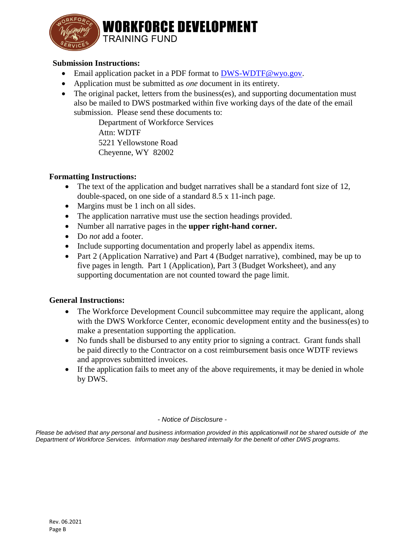

**WORKFORCE DEVELOPMENT TRAINING FUND** 

#### **Submission Instructions:**

- Email application packet in a PDF format to [DWS-WDTF@wyo.gov.](mailto:DWS-WDTF@wyo.gov)
- Application must be submitted as *one* document in its entirety.
- The original packet, letters from the business(es), and supporting documentation must also be mailed to DWS postmarked within five working days of the date of the email submission. Please send these documents to:

Department of Workforce Services Attn: WDTF 5221 Yellowstone Road Cheyenne, WY 82002

#### **Formatting Instructions:**

- The text of the application and budget narratives shall be a standard font size of 12, double-spaced, on one side of a standard 8.5 x 11-inch page.
- Margins must be 1 inch on all sides.
- The application narrative must use the section headings provided.
- Number all narrative pages in the **upper right-hand corner.**
- Do *not* add a footer.
- Include supporting documentation and properly label as appendix items.
- Part 2 (Application Narrative) and Part 4 (Budget narrative), combined, may be up to five pages in length. Part 1 (Application), Part 3 (Budget Worksheet), and any supporting documentation are not counted toward the page limit.

#### **General Instructions:**

- The Workforce Development Council subcommittee may require the applicant, along with the DWS Workforce Center, economic development entity and the business(es) to make a presentation supporting the application.
- No funds shall be disbursed to any entity prior to signing a contract. Grant funds shall be paid directly to the Contractor on a cost reimbursement basis once WDTF reviews and approves submitted invoices.
- If the application fails to meet any of the above requirements, it may be denied in whole by DWS.

#### - Notice of Disclosure -

Department of Workforce Services. Information may beshared internally for the benefit of other DWS programs. Please be advised that any personal and business information provided in this applicationwill not be shared outside of the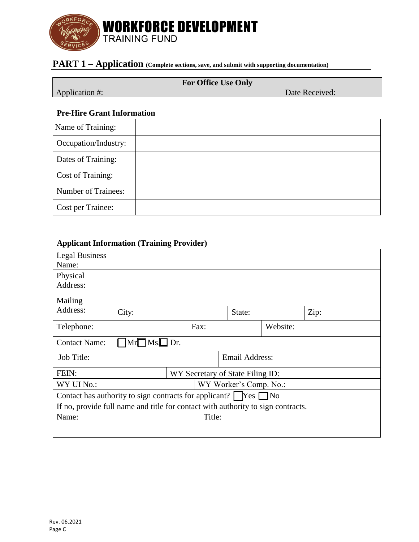

## **PART 1 – Application (Complete sections, save, and submit with supporting documentation)**

Application #: Date Received:

#### **Pre-Hire Grant Information**

| Name of Training:    |  |
|----------------------|--|
| Occupation/Industry: |  |
| Dates of Training:   |  |
| Cost of Training:    |  |
| Number of Trainees:  |  |
| Cost per Trainee:    |  |

### **Applicant Information (Training Provider)**

| <b>Legal Business</b><br>Name:                                                   |                       |  |                                  |                        |          |      |
|----------------------------------------------------------------------------------|-----------------------|--|----------------------------------|------------------------|----------|------|
| Physical<br>Address:                                                             |                       |  |                                  |                        |          |      |
| Mailing                                                                          |                       |  |                                  |                        |          |      |
| Address:                                                                         | City:                 |  |                                  | State:                 |          | Zip: |
| Telephone:                                                                       |                       |  | Fax:                             |                        | Website: |      |
| <b>Contact Name:</b>                                                             | $Mr \Box Ms \Box Dr.$ |  |                                  |                        |          |      |
| Job Title:                                                                       |                       |  |                                  | Email Address:         |          |      |
| FEIN:                                                                            |                       |  | WY Secretary of State Filing ID: |                        |          |      |
| WY UI No.:                                                                       |                       |  |                                  | WY Worker's Comp. No.: |          |      |
| Contact has authority to sign contracts for applicant? $\Box$ Yes $\Box$ No      |                       |  |                                  |                        |          |      |
| If no, provide full name and title for contact with authority to sign contracts. |                       |  |                                  |                        |          |      |
| Name:                                                                            |                       |  | Title:                           |                        |          |      |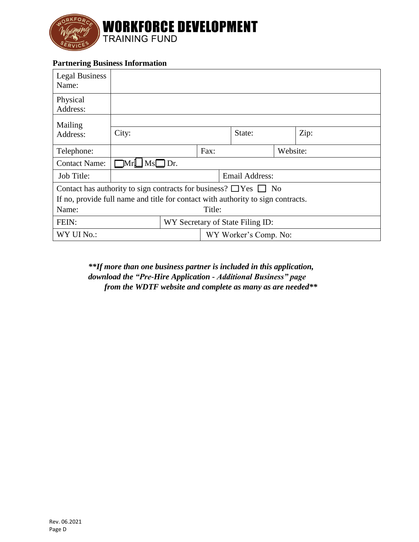

#### **Partnering Business Information**

| <b>Legal Business</b><br>Name:                                                   |                                  |  |  |                       |  |      |
|----------------------------------------------------------------------------------|----------------------------------|--|--|-----------------------|--|------|
| Physical<br>Address:                                                             |                                  |  |  |                       |  |      |
| Mailing                                                                          |                                  |  |  |                       |  |      |
| Address:                                                                         | City:                            |  |  | State:                |  | Zip: |
| Telephone:                                                                       | Fax:                             |  |  | Website:              |  |      |
| <b>Contact Name:</b>                                                             | $\Box$ Mr $\Box$ Ms $\Box$ Dr.   |  |  |                       |  |      |
| Job Title:                                                                       | Email Address:                   |  |  |                       |  |      |
| Contact has authority to sign contracts for business? $\Box$ Yes $\Box$ No       |                                  |  |  |                       |  |      |
| If no, provide full name and title for contact with authority to sign contracts. |                                  |  |  |                       |  |      |
| Name:<br>Title:                                                                  |                                  |  |  |                       |  |      |
| FEIN:                                                                            | WY Secretary of State Filing ID: |  |  |                       |  |      |
| WY UI No.:                                                                       |                                  |  |  | WY Worker's Comp. No: |  |      |

*from the WDTF website and complete as many as are needed\*\* download the "Pre-Hire Application - Additional Business" page \*\*If more than one business partner is included in this application,*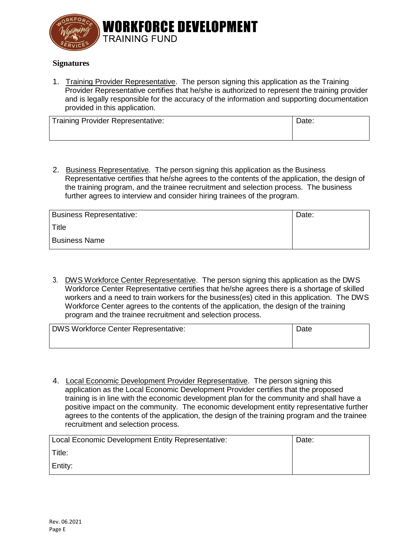

#### **Signatures**

1. Training Provider Representative. The person signing this application as the Training Provider Representative certifies that he/she is authorized to represent the training provider and is legally responsible for the accuracy of the information and supporting documentation provided in this application.

| <b>Training Provider Representative:</b> | Date: |
|------------------------------------------|-------|
|                                          |       |

2. Business Representative. The person signing this application as the Business Representative certifies that he/she agrees to the contents of the application, the design of the training program, and the trainee recruitment and selection process. The business further agrees to interview and consider hiring trainees of the program.

| <b>Business Representative:</b> | Date: |
|---------------------------------|-------|
| Title                           |       |
| <b>Business Name</b>            |       |

3. DWS Workforce Center Representative. The person signing this application as the DWS Workforce Center Representative certifies that he/she agrees there is a shortage of skilled workers and a need to train workers for the business(es) cited in this application. The DWS Workforce Center agrees to the contents of the application, the design of the training program and the trainee recruitment and selection process.

| <b>DWS Workforce Center Representative:</b> | Date |
|---------------------------------------------|------|
|                                             |      |

4. Local Economic Development Provider Representative. The person signing this application as the Local Economic Development Provider certifies that the proposed training is in line with the economic development plan for the community and shall have a positive impact on the community. The economic development entity representative further agrees to the contents of the application, the design of the training program and the trainee recruitment and selection process.

| Local Economic Development Entity Representative: | Date: |
|---------------------------------------------------|-------|
| Title:                                            |       |
| Entity:                                           |       |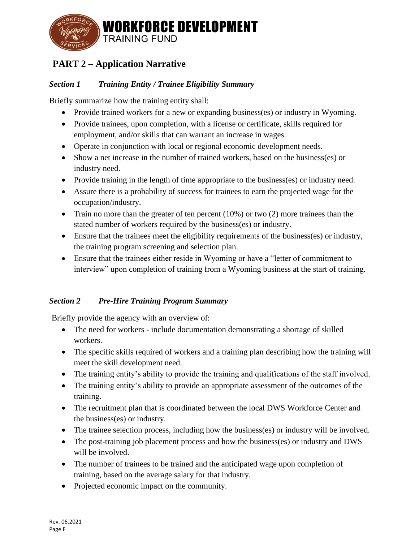

# **PART 2 – Application Narrative**

### *Section 1 Training Entity / Trainee Eligibility Summary*

Briefly summarize how the training entity shall:

- Provide trained workers for a new or expanding business(es) or industry in Wyoming.
- Provide trainees, upon completion, with a license or certificate, skills required for employment, and/or skills that can warrant an increase in wages.
- Operate in conjunction with local or regional economic development needs.
- Show a net increase in the number of trained workers, based on the business(es) or industry need.
- Provide training in the length of time appropriate to the business(es) or industry need.
- Assure there is a probability of success for trainees to earn the projected wage for the occupation/industry.
- Train no more than the greater of ten percent  $(10%)$  or two  $(2)$  more trainees than the stated number of workers required by the business(es) or industry.
- Ensure that the trainees meet the eligibility requirements of the business(es) or industry, the training program screening and selection plan.
- Ensure that the trainees either reside in Wyoming or have a "letter of commitment to interview" upon completion of training from a Wyoming business at the start of training.

### *Section 2 Pre-Hire Training Program Summary*

Briefly provide the agency with an overview of:

- The need for workers include documentation demonstrating a shortage of skilled workers.
- The specific skills required of workers and a training plan describing how the training will meet the skill development need.
- The training entity's ability to provide the training and qualifications of the staff involved.
- The training entity's ability to provide an appropriate assessment of the outcomes of the training.
- The recruitment plan that is coordinated between the local DWS Workforce Center and the business(es) or industry.
- The trainee selection process, including how the business(es) or industry will be involved.
- The post-training job placement process and how the business(es) or industry and DWS will be involved.
- The number of trainees to be trained and the anticipated wage upon completion of training, based on the average salary for that industry.
- Projected economic impact on the community.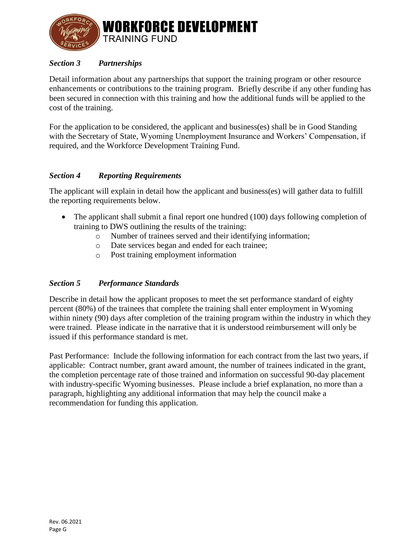

### *Section 3 Partnerships*

Detail information about any partnerships that support the training program or other resource enhancements or contributions to the training program. Briefly describe if any other funding has been secured in connection with this training and how the additional funds will be applied to the cost of the training.

For the application to be considered, the applicant and business(es) shall be in Good Standing with the Secretary of State, Wyoming Unemployment Insurance and Workers' Compensation, if required, and the Workforce Development Training Fund.

#### *Section 4 Reporting Requirements*

The applicant will explain in detail how the applicant and business(es) will gather data to fulfill the reporting requirements below.

- The applicant shall submit a final report one hundred (100) days following completion of training to DWS outlining the results of the training:
	- o Number of trainees served and their identifying information;
	- o Date services began and ended for each trainee;
	- o Post training employment information

#### *Section 5 Performance Standards*

Describe in detail how the applicant proposes to meet the set performance standard of eighty percent (80%) of the trainees that complete the training shall enter employment in Wyoming within ninety (90) days after completion of the training program within the industry in which they were trained. Please indicate in the narrative that it is understood reimbursement will only be issued if this performance standard is met.

Past Performance: Include the following information for each contract from the last two years, if applicable: Contract number, grant award amount, the number of trainees indicated in the grant, the completion percentage rate of those trained and information on successful 90-day placement with industry-specific Wyoming businesses. Please include a brief explanation, no more than a paragraph, highlighting any additional information that may help the council make a recommendation for funding this application.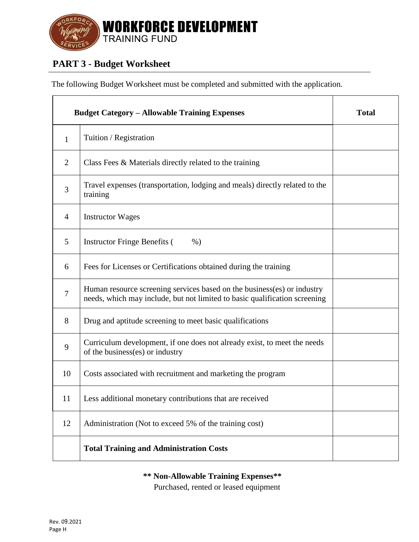

# **PART 3 - Budget Worksheet**

The following Budget Worksheet must be completed and submitted with the application.

|                | <b>Budget Category – Allowable Training Expenses</b>                                                                                                  | <b>Total</b> |
|----------------|-------------------------------------------------------------------------------------------------------------------------------------------------------|--------------|
| $\mathbf{1}$   | Tuition / Registration                                                                                                                                |              |
| $\overline{2}$ | Class Fees $\&$ Materials directly related to the training                                                                                            |              |
| 3              | Travel expenses (transportation, lodging and meals) directly related to the<br>training                                                               |              |
| 4              | <b>Instructor Wages</b>                                                                                                                               |              |
| 5              | <b>Instructor Fringe Benefits (</b><br>$%$ )                                                                                                          |              |
| 6              | Fees for Licenses or Certifications obtained during the training                                                                                      |              |
| $\overline{7}$ | Human resource screening services based on the business(es) or industry<br>needs, which may include, but not limited to basic qualification screening |              |
| 8              | Drug and aptitude screening to meet basic qualifications                                                                                              |              |
| 9              | Curriculum development, if one does not already exist, to meet the needs<br>of the business(es) or industry                                           |              |
| 10             | Costs associated with recruitment and marketing the program                                                                                           |              |
| 11             | Less additional monetary contributions that are received                                                                                              |              |
| 12             | Administration (Not to exceed 5% of the training cost)                                                                                                |              |
|                | <b>Total Training and Administration Costs</b>                                                                                                        |              |

**\*\* Non-Allowable Training Expenses\*\***

Purchased, rented or leased equipment